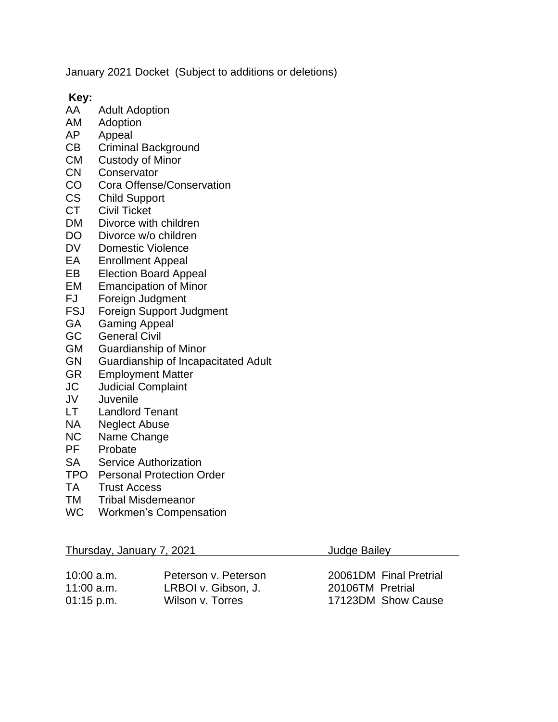January 2021 Docket (Subject to additions or deletions)

**Key:**

- AA Adult Adoption
- AM Adoption
- AP Appeal
- CB Criminal Background
- CM Custody of Minor
- CN Conservator
- CO Cora Offense/Conservation
- CS Child Support
- CT Civil Ticket
- DM Divorce with children
- DO Divorce w/o children
- DV Domestic Violence
- EA Enrollment Appeal
- EB Election Board Appeal
- EM Emancipation of Minor
- FJ Foreign Judgment
- FSJ Foreign Support Judgment
- GA Gaming Appeal
- GC General Civil
- GM Guardianship of Minor
- GN Guardianship of Incapacitated Adult
- GR Employment Matter
- JC Judicial Complaint
- JV Juvenile
- LT Landlord Tenant
- NA Neglect Abuse
- NC Name Change
- PF Probate
- SA Service Authorization
- TPO Personal Protection Order
- TA Trust Access
- TM Tribal Misdemeanor
- WC Workmen's Compensation

| Thursday, January 7, 2021 |  |  |
|---------------------------|--|--|
|                           |  |  |

| $10:00$ a.m. | Peterson v. Peterson |
|--------------|----------------------|
| 11:00 a.m.   | LRBOI v. Gibson, J.  |
| 01:15 p.m.   | Wilson v. Torres     |

Judge Bailey

20061DM Final Pretrial 20106TM Pretrial 17123DM Show Cause